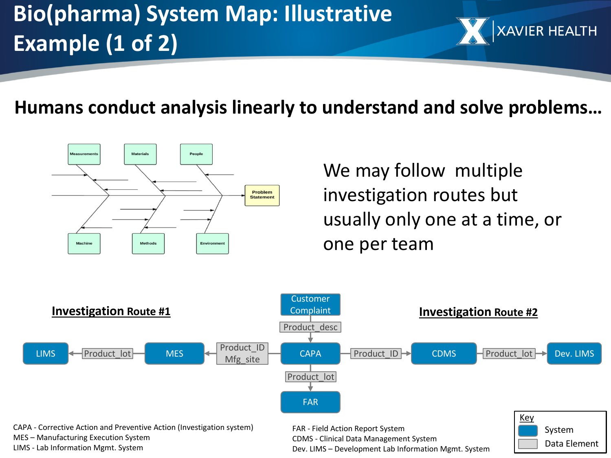## **Bio(pharma) System Map: Illustrative Example (1 of 2)**

## **Humans conduct analysis linearly to understand and solve problems…**



We may follow multiple investigation routes but usually only one at a time, or one per team

**XAVIER HEALTH**